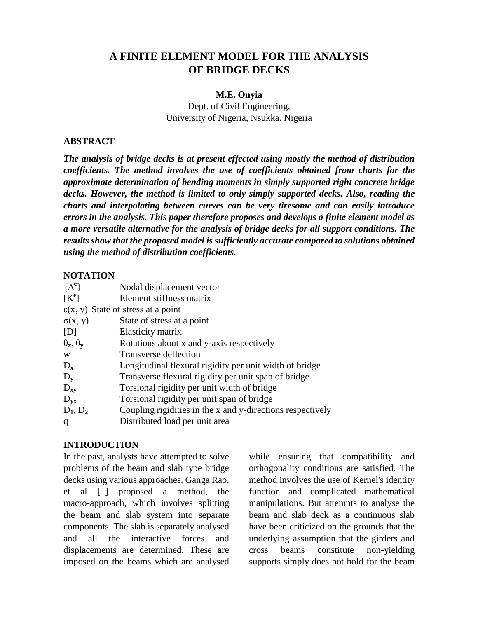# **A FINITE ELEMENT MODEL FOR THE ANALYSIS OF BRIDGE DECKS**

#### **M.E. Onyia**

Dept. of Civil Engineering, University of Nigeria, Nsukka. Nigeria

#### **ABSTRACT**

*The analysis of bridge decks is at present effected using mostly the method of distribution coefficients. The method involves the use of coefficients obtained from charts for the approximate determination of bending moments in simply supported right concrete bridge decks. However, the method is limited to only simply supported decks. Also, reading the charts and interpolating between curves can be very tiresome and can easily introduce errors in the analysis. This paper therefore proposes and develops a finite element model as a more versatile alternative for the analysis of bridge decks for all support conditions. The results show that the proposed model is sufficiently accurate compared to solutions obtained using the method of distribution coefficients.*

## **NOTATION**

| $[K^e]$<br>Element stiffness matrix<br>$\epsilon(x, y)$ State of stress at a point<br>$\sigma(x, y)$<br>State of stress at a point<br>Elasticity matrix<br>[D]<br>$\theta_x$ , $\theta_y$<br>Rotations about x and y-axis respectively<br>Transverse deflection<br>W<br>Longitudinal flexural rigidity per unit width of bridge<br>$D_{x}$<br>Transverse flexural rigidity per unit span of bridge<br>$D_{v}$<br>Torsional rigidity per unit width of bridge<br>$D_{xy}$<br>Torsional rigidity per unit span of bridge<br>$D_{yx}$<br>$D_1, D_2$<br>Distributed load per unit area<br>q | $\{\Delta^e\}$ | Nodal displacement vector                                  |
|-----------------------------------------------------------------------------------------------------------------------------------------------------------------------------------------------------------------------------------------------------------------------------------------------------------------------------------------------------------------------------------------------------------------------------------------------------------------------------------------------------------------------------------------------------------------------------------------|----------------|------------------------------------------------------------|
|                                                                                                                                                                                                                                                                                                                                                                                                                                                                                                                                                                                         |                |                                                            |
|                                                                                                                                                                                                                                                                                                                                                                                                                                                                                                                                                                                         |                |                                                            |
|                                                                                                                                                                                                                                                                                                                                                                                                                                                                                                                                                                                         |                |                                                            |
|                                                                                                                                                                                                                                                                                                                                                                                                                                                                                                                                                                                         |                |                                                            |
|                                                                                                                                                                                                                                                                                                                                                                                                                                                                                                                                                                                         |                |                                                            |
|                                                                                                                                                                                                                                                                                                                                                                                                                                                                                                                                                                                         |                |                                                            |
|                                                                                                                                                                                                                                                                                                                                                                                                                                                                                                                                                                                         |                |                                                            |
|                                                                                                                                                                                                                                                                                                                                                                                                                                                                                                                                                                                         |                |                                                            |
|                                                                                                                                                                                                                                                                                                                                                                                                                                                                                                                                                                                         |                |                                                            |
|                                                                                                                                                                                                                                                                                                                                                                                                                                                                                                                                                                                         |                |                                                            |
|                                                                                                                                                                                                                                                                                                                                                                                                                                                                                                                                                                                         |                | Coupling rigidities in the x and y-directions respectively |
|                                                                                                                                                                                                                                                                                                                                                                                                                                                                                                                                                                                         |                |                                                            |

## **INTRODUCTION**

In the past, analysts have attempted to solve problems of the beam and slab type bridge decks using various approaches. Ganga Rao, et al [1] proposed a method, the macro-approach, which involves splitting the beam and slab system into separate components. The slab is separately analysed and all the interactive forces and displacements are determined. These are imposed on the beams which are analysed while ensuring that compatibility and orthogonality conditions are satisfied. The method involves the use of Kernel's identity function and complicated mathematical manipulations. But attempts to analyse the beam and slab deck as a continuous slab have been criticized on the grounds that the underlying assumption that the girders and cross beams constitute non-yielding supports simply does not hold for the beam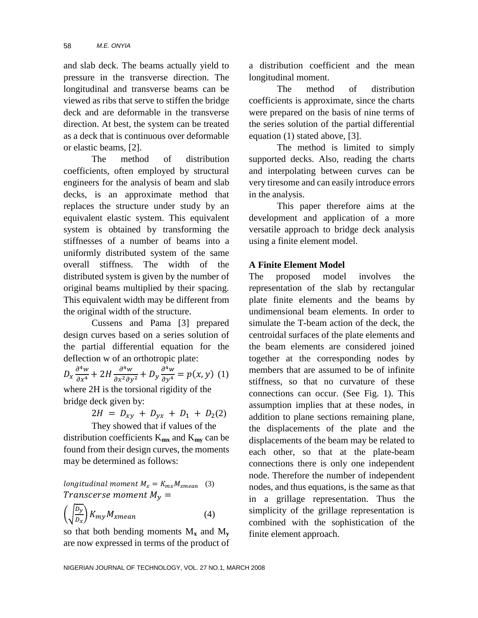and slab deck. The beams actually yield to pressure in the transverse direction. The longitudinal and transverse beams can be viewed as ribs that serve to stiffen the bridge deck and are deformable in the transverse direction. At best, the system can be treated as a deck that is continuous over deformable or elastic beams, [2].

The method of distribution coefficients, often employed by structural engineers for the analysis of beam and slab decks, is an approximate method that replaces the structure under study by an equivalent elastic system. This equivalent system is obtained by transforming the stiffnesses of a number of beams into a uniformly distributed system of the same overall stiffness. The width of the distributed system is given by the number of original beams multiplied by their spacing. This equivalent width may be different from the original width of the structure.

Cussens and Pama [3] prepared design curves based on a series solution of the partial differential equation for the deflection w of an orthotropic plate:

 $D_x \frac{\partial^4}{\partial x^2}$ д  $\partial^4$ д  $\frac{\partial^4 w}{\partial y^4} = p(x, y)$  (1) where 2H is the torsional rigidity of the

bridge deck given by:  $2H = D_{xy} + D_{yx} + D_1 + D_2(2)$ 

They showed that if values of the distribution coefficients  $K_{mx}$  and  $K_{mv}$  can be found from their design curves, the moments may be determined as follows:

longitudinal moment  $M_x = K_{mx} M_{xmean}$  (3) Transcerse moment  $M_{\rm v} =$ 

$$
\left(\sqrt{\frac{D_y}{D_x}}\right) K_{my} M_{xmean} \tag{4}
$$

so that both bending moments  $M_x$  and  $M_y$ are now expressed in terms of the product of a distribution coefficient and the mean longitudinal moment.

The method of distribution coefficients is approximate, since the charts were prepared on the basis of nine terms of the series solution of the partial differential equation (1) stated above, [3].

The method is limited to simply supported decks. Also, reading the charts and interpolating between curves can be very tiresome and can easily introduce errors in the analysis.

This paper therefore aims at the development and application of a more versatile approach to bridge deck analysis using a finite element model.

## **A Finite Element Model**

The proposed model involves the representation of the slab by rectangular plate finite elements and the beams by undimensional beam elements. In order to simulate the T-beam action of the deck, the centroidal surfaces of the plate elements and the beam elements are considered joined together at the corresponding nodes by members that are assumed to be of infinite stiffness, so that no curvature of these connections can occur. (See Fig. 1). This assumption implies that at these nodes, in addition to plane sections remaining plane, the displacements of the plate and the displacements of the beam may be related to each other, so that at the plate-beam connections there is only one independent node. Therefore the number of independent nodes, and thus equations, is the same as that in a grillage representation. Thus the simplicity of the grillage representation is combined with the sophistication of the finite element approach.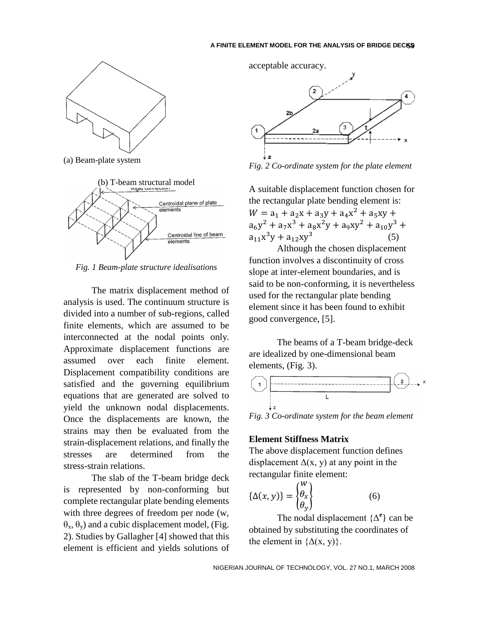

(a) Beam-plate system



*Fig. 1 Beam-plate structure idealisations*

The matrix displacement method of analysis is used. The continuum structure is divided into a number of sub-regions, called finite elements, which are assumed to be interconnected at the nodal points only. Approximate displacement functions are assumed over each finite element. Displacement compatibility conditions are satisfied and the governing equilibrium equations that are generated are solved to yield the unknown nodal displacements. Once the displacements are known, the strains may then be evaluated from the strain-displacement relations, and finally the stresses are determined from the stress-strain relations.

The slab of the T-beam bridge deck is represented by non-conforming but complete rectangular plate bending elements with three degrees of freedom per node (w,  $\theta_x$ ,  $\theta_y$ ) and a cubic displacement model, (Fig. 2). Studies by Gallagher [4] showed that this element is efficient and yields solutions of acceptable accuracy.



*Fig. 2 Co-ordinate system for the plate element*

A suitable displacement function chosen for the rectangular plate bending element is:  $W = a_1 + a_2x + a_3y + a_4x^2$  $a_6y^2 + a_7x^3 + a_8x^2y + a_9xy^2 + a_{10}y^3$  $a_{11}x^3$ (5)

Although the chosen displacement function involves a discontinuity of cross slope at inter-element boundaries, and is said to be non-conforming, it is nevertheless used for the rectangular plate bending element since it has been found to exhibit good convergence, [5].

The beams of a T-beam bridge-deck are idealized by one-dimensional beam elements, (Fig. 3).



*Fig. 3 Co-ordinate system for the beam element*

#### **Element Stiffness Matrix**

The above displacement function defines displacement  $\Delta(x, y)$  at any point in the rectangular finite element:

$$
\{\Delta(x, y)\} = \begin{Bmatrix} w \\ \theta_x \\ \theta_y \end{Bmatrix}
$$
 (6)

The nodal displacement  $\{\Delta^e\}$  can be obtained by substituting the coordinates of the element in  $\{\Delta(x, y)\}.$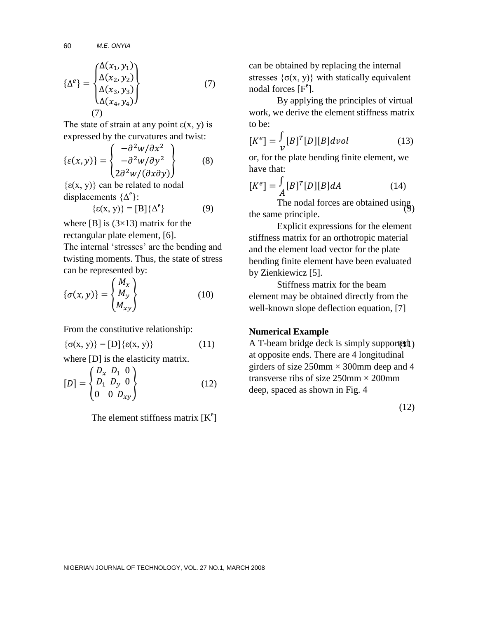*M.E. ONYIA* 60

$$
\{\Delta^e\} = \begin{cases} \Delta(x_1, y_1) \\ \Delta(x_2, y_2) \\ \Delta(x_3, y_3) \\ \Delta(x_4, y_4) \end{cases}
$$
 (7)

The state of strain at any point  $\varepsilon(x, y)$  is expressed by the curvatures and twist:

$$
\{\varepsilon(x,y)\} = \begin{cases}\n-\frac{\partial^2 w}{\partial x^2} \\
-\frac{\partial^2 w}{\partial y^2} \\
2\frac{\partial^2 w}{\partial x \partial y}\n\end{cases}
$$
\n(8)

 $\{\epsilon(x, y)\}\)$  can be related to nodal displacements  $\{\Delta^e\}$ :

$$
\{\varepsilon(x, y)\} = [B] \{\Delta^e\} \tag{9}
$$

where  $[B]$  is  $(3\times13)$  matrix for the rectangular plate element, [6].

The internal 'stresses' are the bending and twisting moments. Thus, the state of stress can be represented by:

$$
\{\sigma(x,y)\} = \begin{Bmatrix} M_x \\ M_y \\ M_{xy} \end{Bmatrix}
$$
 (10)

From the constitutive relationship:

$$
\{\sigma(x, y)\} = [D] \{\varepsilon(x, y)\}\tag{11}
$$

where [D] is the elasticity matrix.

$$
[D] = \begin{Bmatrix} D_x & D_1 & 0 \\ D_1 & D_y & 0 \\ 0 & 0 & D_{xy} \end{Bmatrix}
$$
 (12)

The element stiffness matrix  $[K^e]$ 

can be obtained by replacing the internal stresses  $\{\sigma(x, y)\}\$  with statically equivalent nodal forces [F**<sup>e</sup>** ].

By applying the principles of virtual work, we derive the element stiffness matrix to be:

$$
[K^{e}] = \frac{\int}{\nu} [B]^T [D] [B] dvol \qquad (13)
$$

or, for the plate bending finite element, we have that:

$$
[K^e] = \int_A [B]^T [D][B] dA \tag{14}
$$

 $\left\{\n\begin{array}{ccc}\n\end{array}\n\right\}$  (9)  $\left\{\n\begin{array}{ccc}\n\end{array}\n\right\}$  (9) The nodal forces are obtained using. the same principle.

> Explicit expressions for the element stiffness matrix for an orthotropic material and the element load vector for the plate bending finite element have been evaluated by Zienkiewicz [5].

Stiffness matrix for the beam element may be obtained directly from the well-known slope deflection equation, [7]

## **Numerical Example**

 $\{\sigma(x, y)\} = [D] \{\epsilon(x, y)\}$  (11) A T-beam bridge deck is simply supported (1) at opposite ends. There are 4 longitudinal girders of size  $250$ mm  $\times$  300mm deep and 4 transverse ribs of size  $250$ mm  $\times$   $200$ mm deep, spaced as shown in Fig. 4

(12)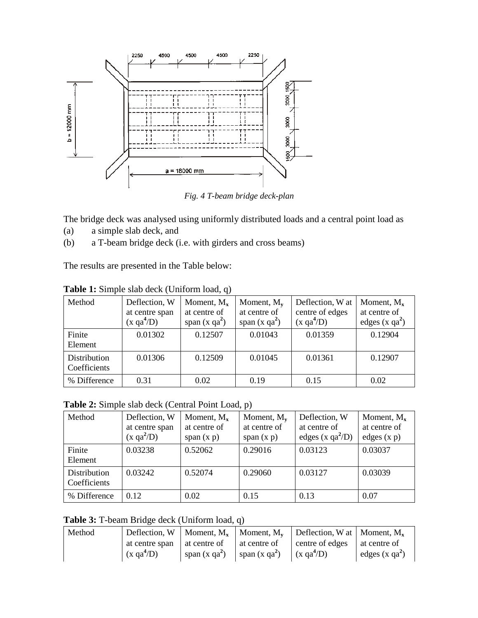

*Fig. 4 T-beam bridge deck-plan*

The bridge deck was analysed using uniformly distributed loads and a central point load as

- (a) a simple slab deck, and
- (b) a T-beam bridge deck (i.e. with girders and cross beams)

The results are presented in the Table below:

| Method       | Deflection, W          | Moment, $M_{x}$ | Moment, $M_{\rm v}$ | Deflection, W at       | Moment, $M_x$   |
|--------------|------------------------|-----------------|---------------------|------------------------|-----------------|
|              | at centre span         | at centre of    | at centre of        | centre of edges        | at centre of    |
|              | (x qa <sup>4</sup> /D) | span $(x qa2)$  | span $(x qa2)$      | (x qa <sup>4</sup> /D) | edges $(x qa2)$ |
| Finite       | 0.01302                | 0.12507         | 0.01043             | 0.01359                | 0.12904         |
| Element      |                        |                 |                     |                        |                 |
| Distribution | 0.01306                | 0.12509         | 0.01045             | 0.01361                | 0.12907         |
| Coefficients |                        |                 |                     |                        |                 |
| % Difference | 0.31                   | 0.02            | 0.19                | 0.15                   | 0.02            |

**Table 1:** Simple slab deck (Uniform load, q)

**Table 2:** Simple slab deck (Central Point Load, p)

| Method                       | Deflection, W<br>at centre span<br>(x qa <sup>2</sup> /D) | Moment, $M_{x}$<br>at centre of<br>span $(x p)$ | Moment, $M_v$<br>at centre of<br>span $(x p)$ | Deflection, W<br>at centre of<br>edges (x $qa^2/D$ ) | Moment, $M_x$<br>at centre of<br>edges $(x p)$ |
|------------------------------|-----------------------------------------------------------|-------------------------------------------------|-----------------------------------------------|------------------------------------------------------|------------------------------------------------|
| Finite<br>Element            | 0.03238                                                   | 0.52062                                         | 0.29016                                       | 0.03123                                              | 0.03037                                        |
| Distribution<br>Coefficients | 0.03242                                                   | 0.52074                                         | 0.29060                                       | 0.03127                                              | 0.03039                                        |
| % Difference                 | 0.12                                                      | 0.02                                            | 0.15                                          | 0.13                                                 | 0.07                                           |

**Table 3:** T-beam Bridge deck (Uniform load, q)

| Method |                      |                 |                 | Deflection, W   Moment, $M_x$   Moment, $M_y$   Deflection, W at   Moment, $M_x$ |                 |
|--------|----------------------|-----------------|-----------------|----------------------------------------------------------------------------------|-----------------|
|        | at centre span       | at centre of    | at centre of    | centre of edges                                                                  | at centre of    |
|        | $(x \text{ qa}^4/D)$ | span $(x ga^2)$ | span $(x ga^2)$ | $(x \text{ qa}^4/D)$                                                             | edges $(x qa2)$ |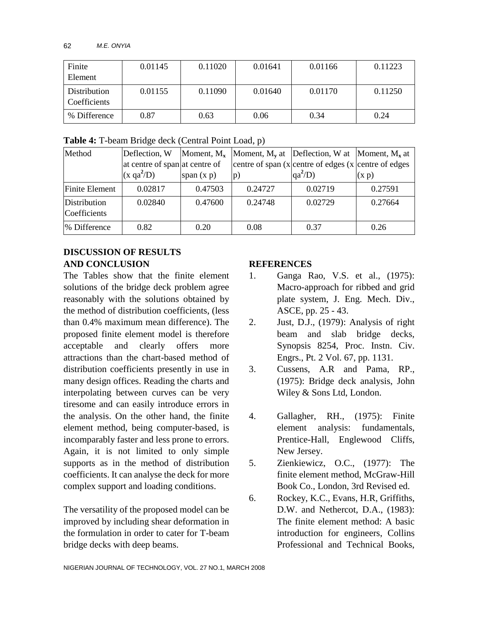| Finite                       | 0.01145 | 0.11020 | 0.01641 | 0.01166 | 0.11223 |
|------------------------------|---------|---------|---------|---------|---------|
| Element                      |         |         |         |         |         |
| Distribution<br>Coefficients | 0.01155 | 0.11090 | 0.01640 | 0.01170 | 0.11250 |
| % Difference                 | 0.87    | 0.63    | 0.06    | 0.34    | 0.24    |

**Table 4:** T-beam Bridge deck (Central Point Load, p)

| Method                       | Deflection, W                  |              |         | Moment, $M_x$  Moment, $M_y$ at  Deflection, W at  Moment, $M_x$ at |         |
|------------------------------|--------------------------------|--------------|---------|---------------------------------------------------------------------|---------|
|                              | at centre of span at centre of |              |         | centre of span $(x centre of edges (x centre of edges))$            |         |
|                              | $(x \text{ qa}^2/D)$           | span $(x p)$ | p)      | $qa^2$ /D)                                                          | (x p)   |
| Finite Element               | 0.02817                        | 0.47503      | 0.24727 | 0.02719                                                             | 0.27591 |
| Distribution<br>Coefficients | 0.02840                        | 0.47600      | 0.24748 | 0.02729                                                             | 0.27664 |
| % Difference                 | 0.82                           | 0.20         | 0.08    | 0.37                                                                | 0.26    |

# **DISCUSSION OF RESULTS AND CONCLUSION**

The Tables show that the finite element solutions of the bridge deck problem agree reasonably with the solutions obtained by the method of distribution coefficients, (less than 0.4% maximum mean difference). The proposed finite element model is therefore acceptable and clearly offers more attractions than the chart-based method of distribution coefficients presently in use in many design offices. Reading the charts and interpolating between curves can be very tiresome and can easily introduce errors in the analysis. On the other hand, the finite element method, being computer-based, is incomparably faster and less prone to errors. Again, it is not limited to only simple supports as in the method of distribution coefficients. It can analyse the deck for more complex support and loading conditions.

The versatility of the proposed model can be improved by including shear deformation in the formulation in order to cater for T-beam bridge decks with deep beams.

# **REFERENCES**

- 1. Ganga Rao, V.S. et al., (1975): Macro-approach for ribbed and grid plate system, J. Eng. Mech. Div., ASCE, pp. 25 - 43.
- 2. Just, D.J., (1979): Analysis of right beam and slab bridge decks, Synopsis 8254, Proc. Instn. Civ. Engrs., Pt. 2 Vol. 67, pp. 1131.
- 3. Cussens, A.R and Pama, RP., (1975): Bridge deck analysis, John Wiley & Sons Ltd, London.
- 4. Gallagher, RH., (1975): Finite element analysis: fundamentals, Prentice-Hall, Englewood Cliffs, New Jersey.
- 5. Zienkiewicz, O.C., (1977): The finite element method, McGraw-Hill Book Co., London, 3rd Revised ed.
- 6. Rockey, K.C., Evans, H.R, Griffiths, D.W. and Nethercot, D.A., (1983): The finite element method: A basic introduction for engineers, Collins Professional and Technical Books,